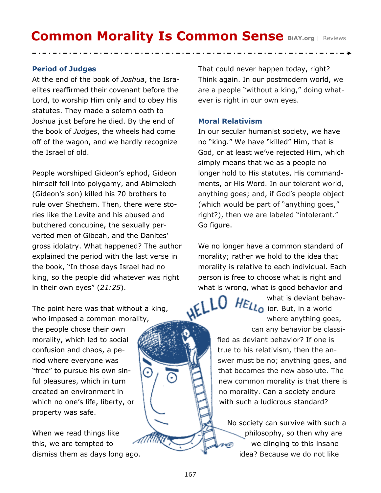# **Common Morality Is Common Sense BiAY.org | Reviews**

## **Period of Judges**

At the end of the book of *Joshua*, the Israelites reaffirmed their covenant before the Lord, to worship Him only and to obey His statutes. They made a solemn oath to Joshua just before he died. By the end of the book of *Judges*, the wheels had come off of the wagon, and we hardly recognize the Israel of old.

People worshiped Gideon's ephod, Gideon himself fell into polygamy, and Abimelech (Gideon's son) killed his 70 brothers to rule over Shechem. Then, there were stories like the Levite and his abused and butchered concubine, the sexually perverted men of Gibeah, and the Danites' gross idolatry. What happened? The author explained the period with the last verse in the book, "In those days Israel had no king, so the people did whatever was right in their own eyes" (*21:25*).

The point here was that without a king,

who imposed a common morality, the people chose their own morality, which led to social confusion and chaos, a period where everyone was "free" to pursue his own sinful pleasures, which in turn created an environment in which no one's life, liberty, or property was safe.

When we read things like this, we are tempted to dismiss them as days long ago. That could never happen today, right? Think again. In our postmodern world, we are a people "without a king," doing whatever is right in our own eyes.

#### **Moral Relativism**

In our secular humanist society, we have no "king." We have "killed" Him, that is God, or at least we've rejected Him, which simply means that we as a people no longer hold to His statutes, His commandments, or His Word. In our tolerant world, anything goes; and, if God's people object (which would be part of "anything goes," right?), then we are labeled "intolerant." Go figure.

We no longer have a common standard of morality; rather we hold to the idea that morality is relative to each individual. Each person is free to choose what is right and what is wrong, what is good behavior and

> what is deviant behav-**HELL<sub>O</sub>** ior. But, in a world where anything goes, can any behavior be classified as deviant behavior? If one is true to his relativism, then the answer must be no; anything goes, and that becomes the new absolute. The new common morality is that there is no morality. Can a society endure with such a ludicrous standard?

No society can survive with such a philosophy, so then why are we clinging to this insane idea? Because we do not like